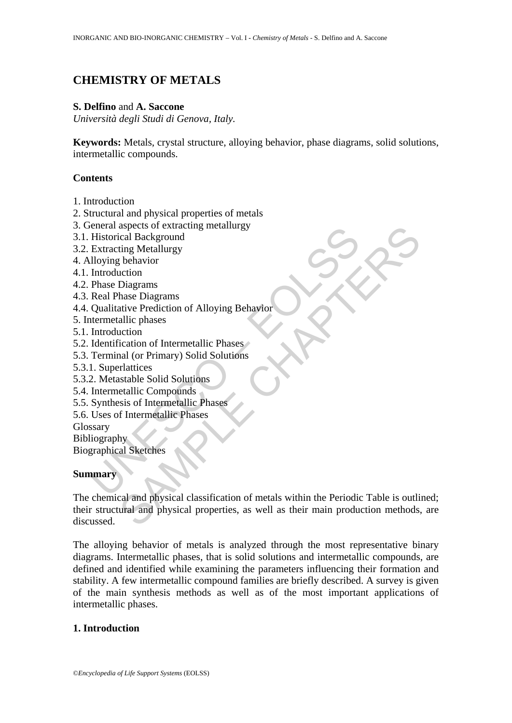# **CHEMISTRY OF METALS**

### **S. Delfino** and **A. Saccone**

*Università degli Studi di Genova, Italy.* 

**Keywords:** Metals, crystal structure, alloying behavior, phase diagrams, solid solutions, intermetallic compounds.

### **Contents**

- 1. Introduction
- 2. Structural and physical properties of metals
- 3. General aspects of extracting metallurgy
- 3.1. Historical Background
- 3.2. Extracting Metallurgy
- 4. Alloying behavior
- 4.1. Introduction
- 4.2. Phase Diagrams
- 4.3. Real Phase Diagrams
- Extracting Becks of extracting metallingy<br>
Historical Background<br>
Extracting Metallurgy<br>
Extracting Metallurgy<br>
Iloying behavior<br>
Introduction<br>
Phase Diagrams<br>
Real Phase Spagrams<br>
Real Phases<br>
Introduction<br>
Identification 4.4. Qualitative Prediction of Alloying Behavior
- 5. Intermetallic phases
- 5.1. Introduction
- 5.2. Identification of Intermetallic Phases
- 5.3. Terminal (or Primary) Solid Solutions
- 5.3.1. Superlattices
- 5.3.2. Metastable Solid Solutions
- 5.4. Intermetallic Compounds
- 5.5. Synthesis of Intermetallic Phases
- 5.6. Uses of Intermetallic Phases

Glossary

Bibliography

Biographical Sketches

## **Summary**

Expects or extracting metallurgy<br>
aspects or extracting<br>
Ical Background<br>
In Metallurgy<br>
behavior<br>
Diagrams<br>
hase Diagrams<br>
hase Diagrams<br>
hase Diagrams<br>
lattices<br>
cation of Intermetallic Phases<br>
and (or Primary) Solid Sol The chemical and physical classification of metals within the Periodic Table is outlined; their structural and physical properties, as well as their main production methods, are discussed.

The alloying behavior of metals is analyzed through the most representative binary diagrams. Intermetallic phases, that is solid solutions and intermetallic compounds, are defined and identified while examining the parameters influencing their formation and stability. A few intermetallic compound families are briefly described. A survey is given of the main synthesis methods as well as of the most important applications of intermetallic phases.

## **1. Introduction**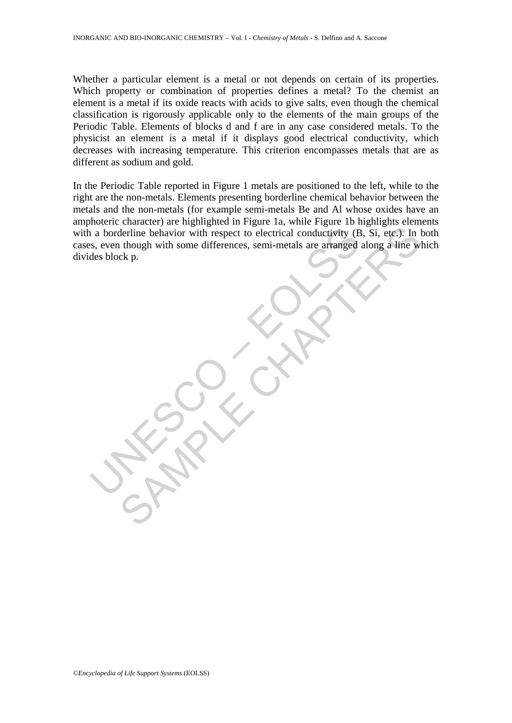Whether a particular element is a metal or not depends on certain of its properties. Which property or combination of properties defines a metal? To the chemist an element is a metal if its oxide reacts with acids to give salts, even though the chemical classification is rigorously applicable only to the elements of the main groups of the Periodic Table. Elements of blocks d and f are in any case considered metals. To the physicist an element is a metal if it displays good electrical conductivity, which decreases with increasing temperature. This criterion encompasses metals that are as different as sodium and gold.

In a borderline behavior with respect to electrical conductivity (B<br>es, even though with some differences, semi-metals are arranged<br>des block p. Elerline behavior with respect to electrical conductivity (B, Si, etc.): In though with some differences, semi-metals are arranged along a line w<br>ck p. In the Periodic Table reported in Figure 1 metals are positioned to the left, while to the right are the non-metals. Elements presenting borderline chemical behavior between the metals and the non-metals (for example semi-metals Be and Al whose oxides have an amphoteric character) are highlighted in Figure 1a, while Figure 1b highlights elements with a borderline behavior with respect to electrical conductivity (B, Si, etc.). In both cases, even though with some differences, semi-metals are arranged along a line which divides block p.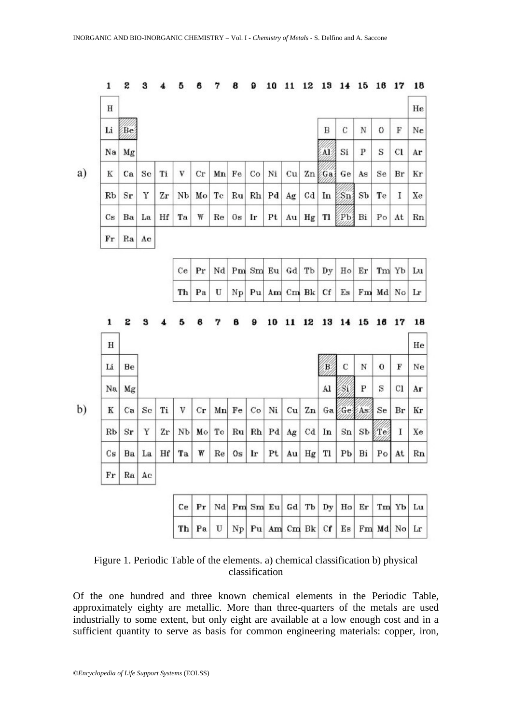| 1                       | S                | 3           | 4  | 5              | 6           | 7           | 8               | 9     | 10 | 11               | 12          | 13                 | 14                         | 15               | 16         | 17             | 18 |
|-------------------------|------------------|-------------|----|----------------|-------------|-------------|-----------------|-------|----|------------------|-------------|--------------------|----------------------------|------------------|------------|----------------|----|
| $\, {\rm H}$            |                  |             |    |                |             |             |                 |       |    |                  |             |                    |                            |                  |            |                | He |
| Li                      | Be               |             |    |                |             |             |                 |       |    |                  |             | B                  | C                          | $_{\rm N}$       | 0          | ${\bf F}$      | Ne |
| Na                      | Mg               |             |    |                |             |             |                 |       |    |                  |             | ÁÉ                 | Si                         | P                | S          | $_{\rm cl}$    | Ar |
| K                       | Ca               | Sc          | Ti | V              | $_{\rm Cr}$ | Mn          | Fe              | Co    | Ni | cu               | Zn          | Ga                 | Ge                         | As               | Se         | Br             | Kr |
| Rb                      | $S_{\mathbf{r}}$ | Υ           | Zr | Nb             | Mo          | Tc          | Ru              | Rh    | Pd | Ag               | $^{cd}$     | In                 | $\sqrt{\operatorname{Sn}}$ | SЪ               | Te         | I              | Xe |
| $\mathbf{c}_\mathbf{s}$ | Ba               | La          | Hf | Ta             | ₩           | Re          | $0\,\mathrm{s}$ | Ir    | Pt |                  | $Au$ Hg     | Tl                 | Pb                         | Bi               | Po         | At             | Rn |
| $\mathbf{F}\mathbf{r}$  | Ra               | Ac          |    |                |             |             |                 |       |    |                  |             |                    |                            |                  |            |                |    |
|                         |                  |             |    | Ce             | Pr          | $_{\rm Nd}$ |                 | Pm Sm | Eu | Gd               | Tb          | Dy                 | $_{\rm Ho}$                | Er               | Tm Yb      |                | Lu |
|                         |                  |             |    | Th             | Pa          | U           | $N_{\rm P}$     | Pu    |    | Am Cm Bk         |             | Cf                 | $E_{\rm S}$                | $F_{\mathbf{m}}$ | Md         | N <sub>O</sub> | Lr |
| $\mathbf 1$             | S                | 3           |    | 5              | 8           | 7           | 8               | 9     | 10 | 11               | 12          | 13                 | 14                         | 15               | 16         | 17             | 18 |
| н                       |                  |             |    |                |             |             |                 |       |    |                  |             |                    |                            |                  |            |                | He |
| Li                      | Be               |             |    |                |             |             |                 |       |    |                  |             | $\mathbf{\hat{B}}$ | C                          | N                | $\bf{0}$   | F              | Ne |
| Na                      | Mg               |             |    |                |             |             |                 |       |    |                  |             | Al                 | Si                         | P                | S          | C1             | Aг |
| $\mathbbm{K}$           | Ca               | $_{\rm Sc}$ | Ti | V              | $_{\rm Cr}$ | Mn          | Fe              | Co    | Ni | cu               | Zn          | Ga                 |                            | GelAs            | Se         | Br             | Кr |
| Rb                      | $S_{\mathbf{r}}$ | Y           | Zr | N <sub>b</sub> | Mo          | Tc          | Ru              | Rh    | Pd | Ag               | Cd          | In                 | $_{\rm Sn}$                | S <sub>b</sub>   | <b>ETe</b> | I              | Xe |
| $\mathbf{C}\mathbf{s}$  | Ba               | La          | Hf | Ta             | ₩           | Re          | 0s              | Ir    | Pt | Au               | $_{\rm Hg}$ | Tl                 | Pb                         | Bi               | Po         | At             | Rn |
| Fr                      |                  | $Ra$ $Ac$   |    |                |             |             |                 |       |    |                  |             |                    |                            |                  |            |                |    |
|                         |                  |             |    | Ce             | Pr          | Nd          |                 |       |    | $Pm$ Sm Eu Gd Tb |             | Dy                 | Ho                         | Er               |            | Tm Yb          | Lu |
|                         |                  |             |    |                |             |             |                 |       |    |                  |             |                    |                            |                  |            |                |    |

| Figure 1. Periodic Table of the elements. a) chemical classification b) physical |  |
|----------------------------------------------------------------------------------|--|
| classification                                                                   |  |

Of the one hundred and three known chemical elements in the Periodic Table, approximately eighty are metallic. More than three-quarters of the metals are used industrially to some extent, but only eight are available at a low enough cost and in a sufficient quantity to serve as basis for common engineering materials: copper, iron,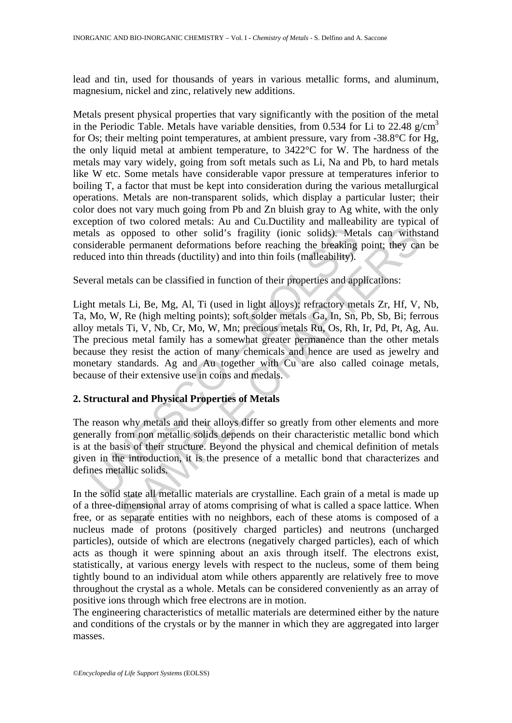lead and tin, used for thousands of years in various metallic forms, and aluminum, magnesium, nickel and zinc, relatively new additions.

Metals present physical properties that vary significantly with the position of the metal in the Periodic Table. Metals have variable densities, from 0.534 for Li to 22.48 g/cm<sup>3</sup> for Os; their melting point temperatures, at ambient pressure, vary from -38.8°C for Hg, the only liquid metal at ambient temperature, to 3422°C for W. The hardness of the metals may vary widely, going from soft metals such as Li, Na and Pb, to hard metals like W etc. Some metals have considerable vapor pressure at temperatures inferior to boiling T, a factor that must be kept into consideration during the various metallurgical operations. Metals are non-transparent solids, which display a particular luster; their color does not vary much going from Pb and Zn bluish gray to Ag white, with the only exception of two colored metals: Au and Cu.Ductility and malleability are typical of metals as opposed to other solid's fragility (ionic solids). Metals can withstand considerable permanent deformations before reaching the breaking point; they can be reduced into thin threads (ductility) and into thin foils (malleability).

Several metals can be classified in function of their properties and applications:

als as opposed to other solid's fragility (ionic solids). Met<br>is derable permanent deformations before reaching the breaking<br>cced into thin threads (ductility) and into thin foils (malleability).<br>eral metals can be classif opposed to other solid's fragility (ionic solids). Metals can wish<br>the permanent deformations before reaching the breaking point; they can<br>be bermanent deformations before reaching the breaking point; they can<br>o thin threa Light metals Li, Be, Mg, Al, Ti (used in light alloys); refractory metals Zr, Hf, V, Nb, Ta, Mo, W, Re (high melting points); soft solder metals Ga, In, Sn, Pb, Sb, Bi; ferrous alloy metals Ti, V, Nb, Cr, Mo, W, Mn; precious metals Ru, Os, Rh, Ir, Pd, Pt, Ag, Au. The precious metal family has a somewhat greater permanence than the other metals because they resist the action of many chemicals and hence are used as jewelry and monetary standards. Ag and Au together with Cu are also called coinage metals, because of their extensive use in coins and medals.

# **2. Structural and Physical Properties of Metals**

The reason why metals and their alloys differ so greatly from other elements and more generally from non metallic solids depends on their characteristic metallic bond which is at the basis of their structure. Beyond the physical and chemical definition of metals given in the introduction, it is the presence of a metallic bond that characterizes and defines metallic solids.

In the solid state all metallic materials are crystalline. Each grain of a metal is made up of a three-dimensional array of atoms comprising of what is called a space lattice. When free, or as separate entities with no neighbors, each of these atoms is composed of a nucleus made of protons (positively charged particles) and neutrons (uncharged particles), outside of which are electrons (negatively charged particles), each of which acts as though it were spinning about an axis through itself. The electrons exist, statistically, at various energy levels with respect to the nucleus, some of them being tightly bound to an individual atom while others apparently are relatively free to move throughout the crystal as a whole. Metals can be considered conveniently as an array of positive ions through which free electrons are in motion.

The engineering characteristics of metallic materials are determined either by the nature and conditions of the crystals or by the manner in which they are aggregated into larger masses.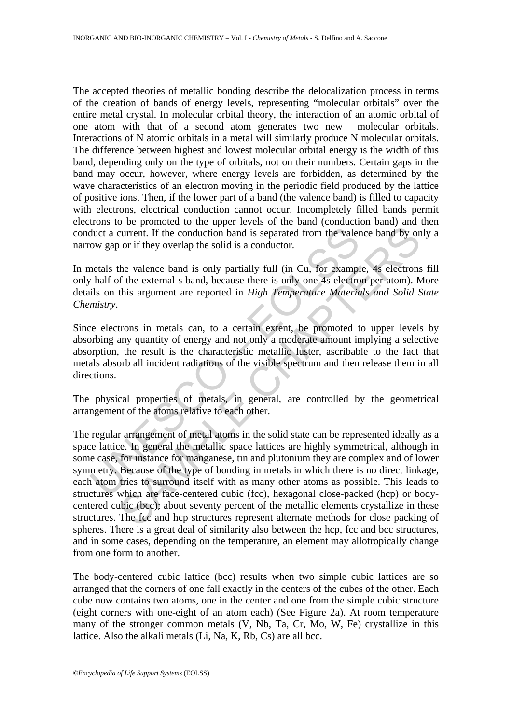The accepted theories of metallic bonding describe the delocalization process in terms of the creation of bands of energy levels, representing "molecular orbitals" over the entire metal crystal. In molecular orbital theory, the interaction of an atomic orbital of one atom with that of a second atom generates two new molecular orbitals. Interactions of N atomic orbitals in a metal will similarly produce N molecular orbitals. The difference between highest and lowest molecular orbital energy is the width of this band, depending only on the type of orbitals, not on their numbers. Certain gaps in the band may occur, however, where energy levels are forbidden, as determined by the wave characteristics of an electron moving in the periodic field produced by the lattice of positive ions. Then, if the lower part of a band (the valence band) is filled to capacity with electrons, electrical conduction cannot occur. Incompletely filled bands permit electrons to be promoted to the upper levels of the band (conduction band) and then conduct a current. If the conduction band is separated from the valence band by only a narrow gap or if they overlap the solid is a conductor.

In metals the valence band is only partially full (in Cu, for example, 4s electrons fill only half of the external s band, because there is only one 4s electron per atom). More details on this argument are reported in *High Temperature Materials and Solid State Chemistry*.

Since electrons in metals can, to a certain extent, be promoted to upper levels by absorbing any quantity of energy and not only a moderate amount implying a selective absorption, the result is the characteristic metallic luster, ascribable to the fact that metals absorb all incident radiations of the visible spectrum and then release them in all directions.

The physical properties of metals, in general, are controlled by the geometrical arrangement of the atoms relative to each other.

duct a current. If the conduction band is separated from the valent<br>ow gap or if they overlap the solid is a conductor.<br>
metals the valence band is only partially full (in Cu, for example half of the external s band, becau current. If the conduction band is separated from the valence band by on<br>or if they overlap the solid is a conductor.<br>the valence band is only partially full (in Cu, for example, 4s electrons<br>f the external s band, because The regular arrangement of metal atoms in the solid state can be represented ideally as a space lattice. In general the metallic space lattices are highly symmetrical, although in some case, for instance for manganese, tin and plutonium they are complex and of lower symmetry. Because of the type of bonding in metals in which there is no direct linkage, each atom tries to surround itself with as many other atoms as possible. This leads to structures which are face-centered cubic (fcc), hexagonal close-packed (hcp) or bodycentered cubic (bcc); about seventy percent of the metallic elements crystallize in these structures. The fcc and hcp structures represent alternate methods for close packing of spheres. There is a great deal of similarity also between the hcp, fcc and bcc structures, and in some cases, depending on the temperature, an element may allotropically change from one form to another.

The body-centered cubic lattice (bcc) results when two simple cubic lattices are so arranged that the corners of one fall exactly in the centers of the cubes of the other. Each cube now contains two atoms, one in the center and one from the simple cubic structure (eight corners with one-eight of an atom each) (See Figure 2a). At room temperature many of the stronger common metals (V, Nb, Ta, Cr, Mo, W, Fe) crystallize in this lattice. Also the alkali metals (Li, Na, K, Rb, Cs) are all bcc.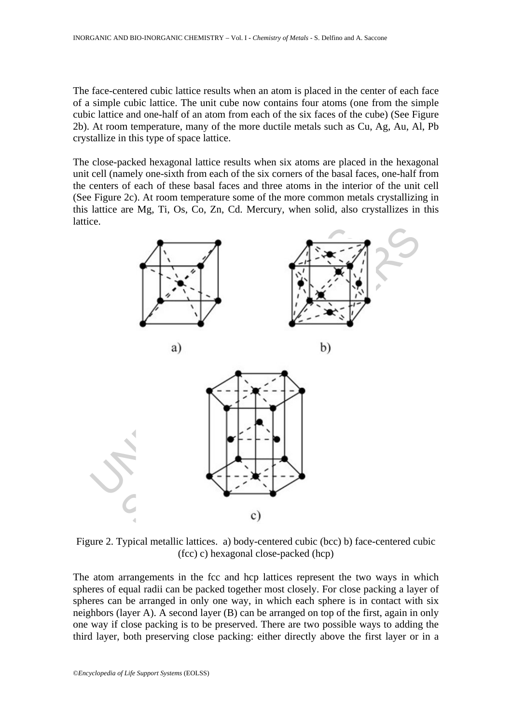The face-centered cubic lattice results when an atom is placed in the center of each face of a simple cubic lattice. The unit cube now contains four atoms (one from the simple cubic lattice and one-half of an atom from each of the six faces of the cube) (See Figure 2b). At room temperature, many of the more ductile metals such as Cu, Ag, Au, Al, Pb crystallize in this type of space lattice.

The close-packed hexagonal lattice results when six atoms are placed in the hexagonal unit cell (namely one-sixth from each of the six corners of the basal faces, one-half from the centers of each of these basal faces and three atoms in the interior of the unit cell (See Figure 2c). At room temperature some of the more common metals crystallizing in this lattice are Mg, Ti, Os, Co, Zn, Cd. Mercury, when solid, also crystallizes in this lattice.



Figure 2. Typical metallic lattices. a) body-centered cubic (bcc) b) face-centered cubic (fcc) c) hexagonal close-packed (hcp)

The atom arrangements in the fcc and hcp lattices represent the two ways in which spheres of equal radii can be packed together most closely. For close packing a layer of spheres can be arranged in only one way, in which each sphere is in contact with six neighbors (layer A). A second layer (B) can be arranged on top of the first, again in only one way if close packing is to be preserved. There are two possible ways to adding the third layer, both preserving close packing: either directly above the first layer or in a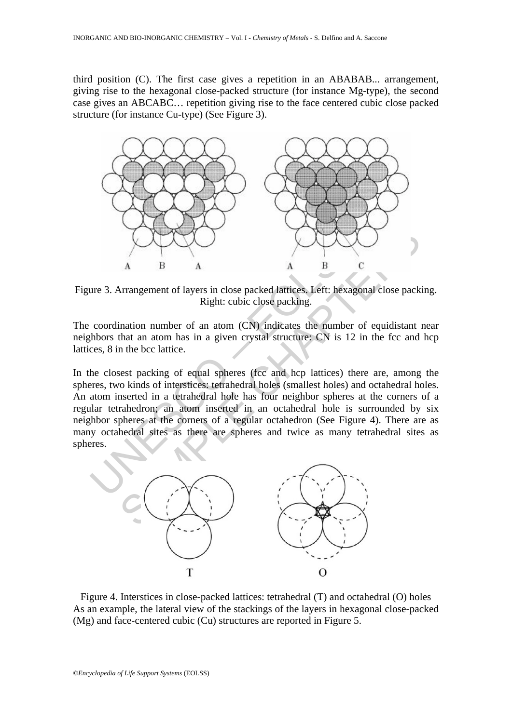third position (C). The first case gives a repetition in an ABABAB... arrangement, giving rise to the hexagonal close-packed structure (for instance Mg-type), the second case gives an ABCABC… repetition giving rise to the face centered cubic close packed structure (for instance Cu-type) (See Figure 3).



Figure 3. Arrangement of layers in close packed lattices. Left: hexagonal close packing. Right: cubic close packing.

The coordination number of an atom (CN) indicates the number of equidistant near neighbors that an atom has in a given crystal structure: CN is 12 in the fcc and hcp lattices, 8 in the bcc lattice.

A<br>
A B<br>
A<br>
Rure 3. Arrangement of layers in close packed lattices, Left: hexage<br>
Right: cubic close packing.<br>
Coordination number of an atom (CN) indicates the number choses that an atom has in a given crystal structure: C A B A a B C<br>
Arrangement of layers in close packed lattices. Left: hexagonal close pack<br>
mation number of an atom (CN) indicates the number of equidistant<br>
that an atom has in a given crystal structure; CN is 12 in the fcc In the closest packing of equal spheres (fcc and hcp lattices) there are, among the spheres, two kinds of interstices: tetrahedral holes (smallest holes) and octahedral holes. An atom inserted in a tetrahedral hole has four neighbor spheres at the corners of a regular tetrahedron; an atom inserted in an octahedral hole is surrounded by six neighbor spheres at the corners of a regular octahedron (See Figure 4). There are as many octahedral sites as there are spheres and twice as many tetrahedral sites as spheres.



Figure 4. Interstices in close-packed lattices: tetrahedral (T) and octahedral (O) holes As an example, the lateral view of the stackings of the layers in hexagonal close-packed (Mg) and face-centered cubic (Cu) structures are reported in Figure 5.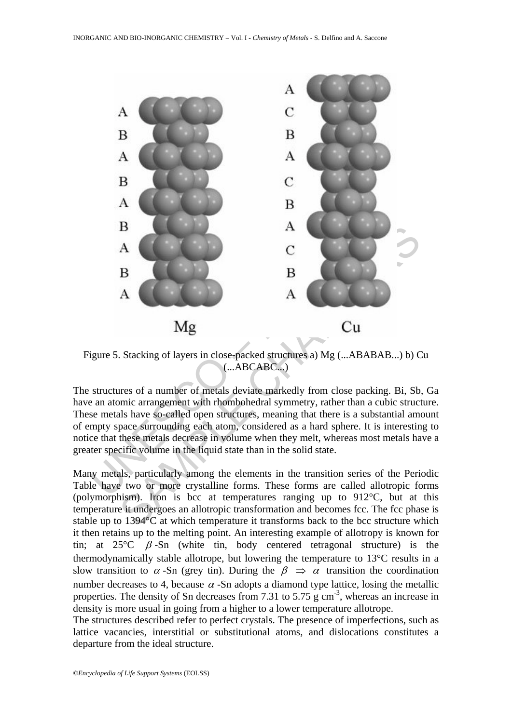

Figure 5. Stacking of layers in close-packed structures a) Mg (...ABABAB...) b) Cu (...ABCABC...)

The structures of a number of metals deviate markedly from close packing. Bi, Sb, Ga have an atomic arrangement with rhombohedral symmetry, rather than a cubic structure. These metals have so-called open structures, meaning that there is a substantial amount of empty space surrounding each atom, considered as a hard sphere. It is interesting to notice that these metals decrease in volume when they melt, whereas most metals have a greater specific volume in the liquid state than in the solid state.

Many metals, particularly among the elements in the transition series of the Periodic Table have two or more crystalline forms. These forms are called allotropic forms (polymorphism). Iron is bcc at temperatures ranging up to 912°C, but at this temperature it undergoes an allotropic transformation and becomes fcc. The fcc phase is stable up to 1394°C at which temperature it transforms back to the bcc structure which it then retains up to the melting point. An interesting example of allotropy is known for tin; at  $25^{\circ}\text{C}$  β -Sn (white tin, body centered tetragonal structure) is the thermodynamically stable allotrope, but lowering the temperature to 13°C results in a slow transition to  $\alpha$ -Sn (grey tin). During the  $\beta \Rightarrow \alpha$  transition the coordination number decreases to 4, because  $\alpha$  -Sn adopts a diamond type lattice, losing the metallic properties. The density of Sn decreases from 7.31 to 5.75 g cm<sup>-3</sup>, whereas an increase in density is more usual in going from a higher to a lower temperature allotrope.

The structures described refer to perfect crystals. The presence of imperfections, such as lattice vacancies, interstitial or substitutional atoms, and dislocations constitutes a departure from the ideal structure.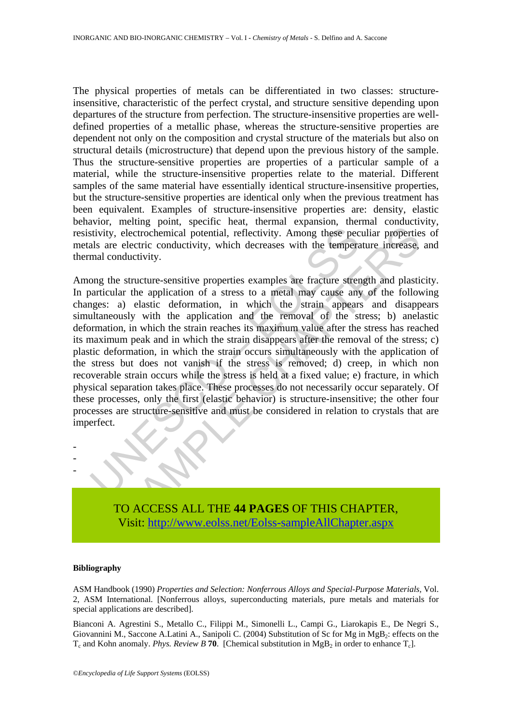The physical properties of metals can be differentiated in two classes: structureinsensitive, characteristic of the perfect crystal, and structure sensitive depending upon departures of the structure from perfection. The structure-insensitive properties are welldefined properties of a metallic phase, whereas the structure-sensitive properties are dependent not only on the composition and crystal structure of the materials but also on structural details (microstructure) that depend upon the previous history of the sample. Thus the structure-sensitive properties are properties of a particular sample of a material, while the structure-insensitive properties relate to the material. Different samples of the same material have essentially identical structure-insensitive properties, but the structure-sensitive properties are identical only when the previous treatment has been equivalent. Examples of structure-insensitive properties are: density, elastic behavior, melting point, specific heat, thermal expansion, thermal conductivity, resistivity, electrochemical potential, reflectivity. Among these peculiar properties of metals are electric conductivity, which decreases with the temperature increase, and thermal conductivity.

Strivity, electrochemical potential, reflectivity. Among these pectals are electric conductivity, which decreases with the temperal conductivity.<br>
Some the structure-sensitive properties examples are fracture streme and co electrochemical potential, reflectivity. Among these peculiar properties<br>electrochemical potential, reflectivity. Among these peculiar properties<br>electric conductivity, which decreases with the temperature increase,<br>ductiv Among the structure-sensitive properties examples are fracture strength and plasticity. In particular the application of a stress to a metal may cause any of the following changes: a) elastic deformation, in which the strain appears and disappears simultaneously with the application and the removal of the stress; b) anelastic deformation, in which the strain reaches its maximum value after the stress has reached its maximum peak and in which the strain disappears after the removal of the stress; c) plastic deformation, in which the strain occurs simultaneously with the application of the stress but does not vanish if the stress is removed; d) creep, in which non recoverable strain occurs while the stress is held at a fixed value; e) fracture, in which physical separation takes place. These processes do not necessarily occur separately. Of these processes, only the first (elastic behavior) is structure-insensitive; the other four processes are structure-sensitive and must be considered in relation to crystals that are imperfect.

TO ACCESS ALL THE **44 PAGES** OF THIS CHAPTER, Visit: http://www.eolss.net/Eolss-sampleAllChapter.aspx

### **Bibliography**

- - -

ASM Handbook (1990) *Properties and Selection: Nonferrous Alloys and Special-Purpose Materials,* Vol. 2, ASM International. [Nonferrous alloys, superconducting materials, pure metals and materials for special applications are described].

Bianconi A. Agrestini S., Metallo C., Filippi M., Simonelli L., Campi G., Liarokapis E., De Negri S., Giovannini M., Saccone A.Latini A., Sanipoli C. (2004) Substitution of Sc for Mg in  $MgB<sub>2</sub>$ : effects on the  $T_c$  and Kohn anomaly. *Phys. Review B* **70**. [Chemical substitution in MgB<sub>2</sub> in order to enhance  $T_c$ ].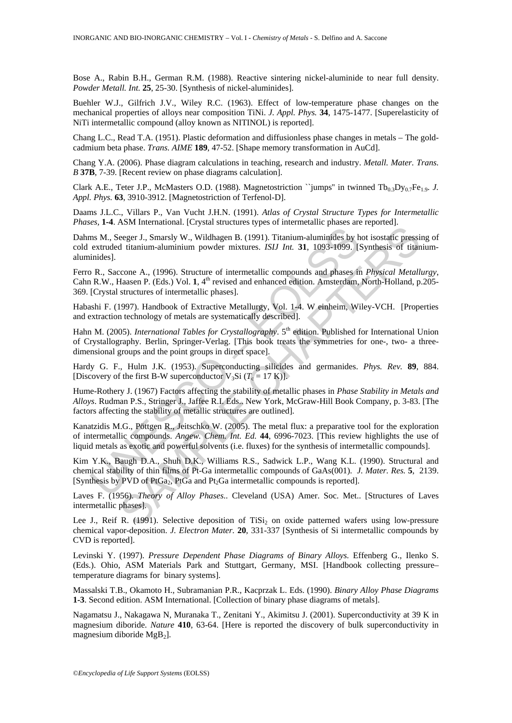Bose A., Rabin B.H., German R.M. (1988). Reactive sintering nickel-aluminide to near full density. *Powder Metall. Int.* **25**, 25-30. [Synthesis of nickel-aluminides].

Buehler W.J., Gilfrich J.V., Wiley R.C. (1963). Effect of low-temperature phase changes on the mechanical properties of alloys near composition TiNi. *J. Appl. Phys.* **34**, 1475-1477. [Superelasticity of NiTi intermetallic compound (alloy known as NITINOL) is reported].

Chang L.C., Read T.A. (1951). Plastic deformation and diffusionless phase changes in metals – The goldcadmium beta phase. *Trans. AIME* **189**, 47-52. [Shape memory transformation in AuCd].

Chang Y.A. (2006). Phase diagram calculations in teaching, research and industry. *Metall. Mater. Trans. B* **37B**, 7-39. [Recent review on phase diagrams calculation].

Clark A.E., Teter J.P., McMasters O.D. (1988). Magnetostriction ``jumps'' in twinned Tb<sub>0.3</sub>Dy<sub>0.7</sub>Fe<sub>1.9</sub>. *J. Appl. Phys.* **63**, 3910-3912. [Magnetostriction of Terfenol-D].

Daams J.L.C., Villars P., Van Vucht J.H.N. (1991). *Atlas of Crystal Structure Types for Intermetallic Phases,* **1-4**. ASM International. [Crystal structures types of intermetallic phases are reported].

Dahms M., Seeger J., Smarsly W., Wildhagen B. (1991). Titanium-aluminides by hot isostatic pressing of cold extruded titanium-aluminium powder mixtures. *ISIJ Int.* **31**, 1093-1099. [Synthesis of titaniumaluminides].

Ferro R., Saccone A., (1996). Structure of intermetallic compounds and phases in *Physical Metallurgy*, Cahn R.W., Haasen P. (Eds.) Vol. 1, 4<sup>th</sup> revised and enhanced edition. Amsterdam, North-Holland, p.205-369. [Crystal structures of intermetallic phases].

Habashi F. (1997). Handbook of Extractive Metallurgy, Vol. 1-4. W einheim, Wiley-VCH. [Properties and extraction technology of metals are systematically described].

Hahn M. (2005). *International Tables for Crystallography*. 5<sup>th</sup> edition. Published for International Union of Crystallography. Berlin, Springer-Verlag. [This book treats the symmetries for one-, two- a threedimensional groups and the point groups in direct space].

Hardy G. F., Hulm J.K. (1953). Superconducting silicides and germanides. *Phys. Rev.* **89**, 884. [Discovery of the first B-W superconductor  $V_3Si (T_c = 17 K)$ ].

ms M., Seeger J., Smarsly W., Wildhagen B. (1991). Titanium-aluminides by bextruded titanium-aluminium powder mixtures. *ISIJ Int*. **31**, 1093-1099. [tinides].<br>
inides]. R., Saccone A., (1996). Structure of intermetallic Every means are enoughly by the dialogue of the mean and probability of mean and probability of this phases. Cleveland (1991). Trianium-aluminides by hot isostafic presside dianium-aluminium powder mixtures. *ISIJ Int.* 3 Hume-Rothery J. (1967) Factors affecting the stability of metallic phases in *Phase Stability in Metals and Alloys*. Rudman P.S., Stringer J., Jaffee R.I. Eds.. New York, McGraw-Hill Book Company, p. 3-83. [The factors affecting the stability of metallic structures are outlined].

Kanatzidis M.G., Pöttgen R., Jeitschko W. (2005). The metal flux: a preparative tool for the exploration of intermetallic compounds. *Angew. Chem. Int. Ed.* **44**, 6996-7023. [This review highlights the use of liquid metals as exotic and powerful solvents (i.e. fluxes) for the synthesis of intermetallic compounds].

Kim Y.K., Baugh D.A., Shuh D.K., Williams R.S., Sadwick L.P., Wang K.L. (1990). Structural and chemical stability of thin films of Pt-Ga intermetallic compounds of GaAs(001). *J. Mater. Res.* **5**, 2139. [Synthesis by PVD of PtGa<sub>2</sub>, PtGa and Pt<sub>2</sub>Ga intermetallic compounds is reported].

Laves F. (1956). *Theory of Alloy Phases*.. Cleveland (USA) Amer. Soc. Met.. [Structures of Laves intermetallic phases].

Lee J., Reif R. (1991). Selective deposition of TiSi<sub>2</sub> on oxide patterned wafers using low-pressure chemical vapor-deposition. *J. Electron Mater.* **20**, 331-337 [Synthesis of Si intermetallic compounds by CVD is reported].

Levinski Y. (1997). *Pressure Dependent Phase Diagrams of Binary Alloys.* Effenberg G., Ilenko S. (Eds.). Ohio, ASM Materials Park and Stuttgart, Germany, MSI. [Handbook collecting pressure– temperature diagrams for binary systems].

Massalski T.B., Okamoto H., Subramanian P.R., Kacprzak L. Eds. (1990). *Binary Alloy Phase Diagrams* **1-3**. Second edition. ASM International. [Collection of binary phase diagrams of metals].

Nagamatsu J., Nakagawa N, Muranaka T., Zenitani Y., Akimitsu J. (2001). Superconductivity at 39 K in magnesium diboride. *Nature* **410**, 63-64. [Here is reported the discovery of bulk superconductivity in magnesium diboride  $MgB<sub>2</sub>$ ].